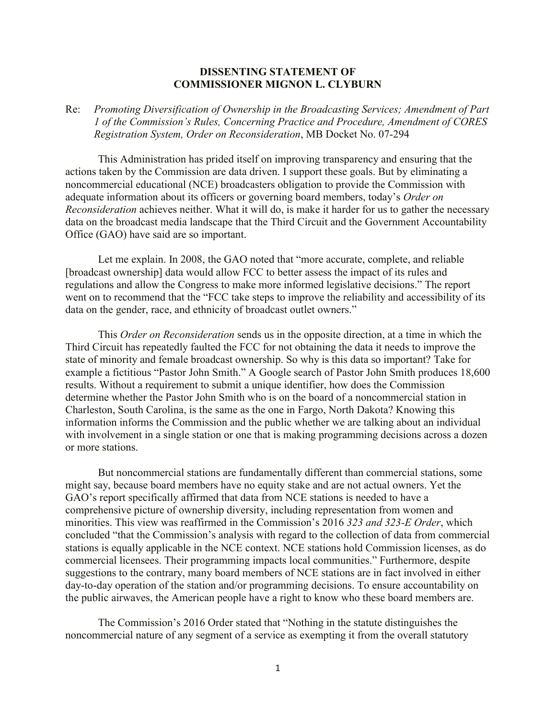## **DISSENTING STATEMENT OF COMMISSIONER MIGNON L. CLYBURN**

## Re: *Promoting Diversification of Ownership in the Broadcasting Services; Amendment of Part 1 of the Commission's Rules, Concerning Practice and Procedure, Amendment of CORES Registration System, Order on Reconsideration*, MB Docket No. 07-294

This Administration has prided itself on improving transparency and ensuring that the actions taken by the Commission are data driven. I support these goals. But by eliminating a noncommercial educational (NCE) broadcasters obligation to provide the Commission with adequate information about its officers or governing board members, today's *Order on Reconsideration* achieves neither. What it will do, is make it harder for us to gather the necessary data on the broadcast media landscape that the Third Circuit and the Government Accountability Office (GAO) have said are so important.

Let me explain. In 2008, the GAO noted that "more accurate, complete, and reliable [broadcast ownership] data would allow FCC to better assess the impact of its rules and regulations and allow the Congress to make more informed legislative decisions." The report went on to recommend that the "FCC take steps to improve the reliability and accessibility of its data on the gender, race, and ethnicity of broadcast outlet owners."

This *Order on Reconsideration* sends us in the opposite direction, at a time in which the Third Circuit has repeatedly faulted the FCC for not obtaining the data it needs to improve the state of minority and female broadcast ownership. So why is this data so important? Take for example a fictitious "Pastor John Smith." A Google search of Pastor John Smith produces 18,600 results. Without a requirement to submit a unique identifier, how does the Commission determine whether the Pastor John Smith who is on the board of a noncommercial station in Charleston, South Carolina, is the same as the one in Fargo, North Dakota? Knowing this information informs the Commission and the public whether we are talking about an individual with involvement in a single station or one that is making programming decisions across a dozen or more stations.

But noncommercial stations are fundamentally different than commercial stations, some might say, because board members have no equity stake and are not actual owners. Yet the GAO's report specifically affirmed that data from NCE stations is needed to have a comprehensive picture of ownership diversity, including representation from women and minorities. This view was reaffirmed in the Commission's 2016 *323 and 323-E Order*, which concluded "that the Commission's analysis with regard to the collection of data from commercial stations is equally applicable in the NCE context. NCE stations hold Commission licenses, as do commercial licensees. Their programming impacts local communities." Furthermore, despite suggestions to the contrary, many board members of NCE stations are in fact involved in either day-to-day operation of the station and/or programming decisions. To ensure accountability on the public airwaves, the American people have a right to know who these board members are.

The Commission's 2016 Order stated that "Nothing in the statute distinguishes the noncommercial nature of any segment of a service as exempting it from the overall statutory